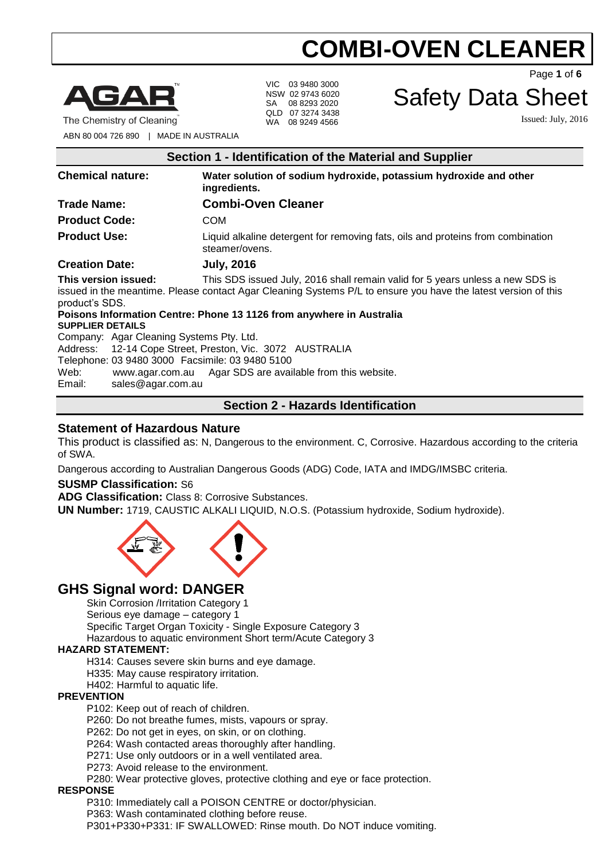

The Chemistry of Cleaning

VIC 03 9480 3000 NSW 02 9743 6020 SA 08 8293 2020 QLD 07 3274 3438 WA 08 9249 4566

Page **1** of **6**

# Safety Data Sheet

Issued: July, 2016

ABN 80 004 726 890 | MADE IN AUSTRALIA

| Section 1 - Identification of the Material and Supplier                                                                                                                                                                                                     |                                                                                                   |  |
|-------------------------------------------------------------------------------------------------------------------------------------------------------------------------------------------------------------------------------------------------------------|---------------------------------------------------------------------------------------------------|--|
| <b>Chemical nature:</b>                                                                                                                                                                                                                                     | Water solution of sodium hydroxide, potassium hydroxide and other<br>ingredients.                 |  |
| <b>Trade Name:</b>                                                                                                                                                                                                                                          | <b>Combi-Oven Cleaner</b>                                                                         |  |
| <b>Product Code:</b>                                                                                                                                                                                                                                        | <b>COM</b>                                                                                        |  |
| <b>Product Use:</b>                                                                                                                                                                                                                                         | Liquid alkaline detergent for removing fats, oils and proteins from combination<br>steamer/ovens. |  |
| <b>Creation Date:</b>                                                                                                                                                                                                                                       | <b>July, 2016</b>                                                                                 |  |
| This version issued:<br>This SDS issued July, 2016 shall remain valid for 5 years unless a new SDS is<br>issued in the meantime. Please contact Agar Cleaning Systems P/L to ensure you have the latest version of this<br>product's SDS.                   |                                                                                                   |  |
| Poisons Information Centre: Phone 13 1126 from anywhere in Australia<br><b>SUPPLIER DETAILS</b>                                                                                                                                                             |                                                                                                   |  |
| Company: Agar Cleaning Systems Pty. Ltd.<br>Address: 12-14 Cope Street, Preston, Vic. 3072 AUSTRALIA<br>Telephone: 03 9480 3000 Facsimile: 03 9480 5100<br>Web:<br>www.agar.com.au Agar SDS are available from this website.<br>sales@agar.com.au<br>Email: |                                                                                                   |  |

# **Section 2 - Hazards Identification**

## **Statement of Hazardous Nature**

This product is classified as: N, Dangerous to the environment. C, Corrosive. Hazardous according to the criteria of SWA.

Dangerous according to Australian Dangerous Goods (ADG) Code, IATA and IMDG/IMSBC criteria.

#### **SUSMP Classification:** S6

**ADG Classification:** Class 8: Corrosive Substances.

**UN Number:** 1719, CAUSTIC ALKALI LIQUID, N.O.S. (Potassium hydroxide, Sodium hydroxide).



# **GHS Signal word: DANGER**

Skin Corrosion /Irritation Category 1

Serious eye damage – category 1

Specific Target Organ Toxicity - Single Exposure Category 3

Hazardous to aquatic environment Short term/Acute Category 3

#### **HAZARD STATEMENT:**

H314: Causes severe skin burns and eye damage.

H335: May cause respiratory irritation.

H402: Harmful to aquatic life.

#### **PREVENTION**

P102: Keep out of reach of children.

P260: Do not breathe fumes, mists, vapours or spray.

P262: Do not get in eyes, on skin, or on clothing.

P264: Wash contacted areas thoroughly after handling.

P271: Use only outdoors or in a well ventilated area.

P273: Avoid release to the environment.

P280: Wear protective gloves, protective clothing and eye or face protection.

#### **RESPONSE**

P310: Immediately call a POISON CENTRE or doctor/physician.

P363: Wash contaminated clothing before reuse.

P301+P330+P331: IF SWALLOWED: Rinse mouth. Do NOT induce vomiting.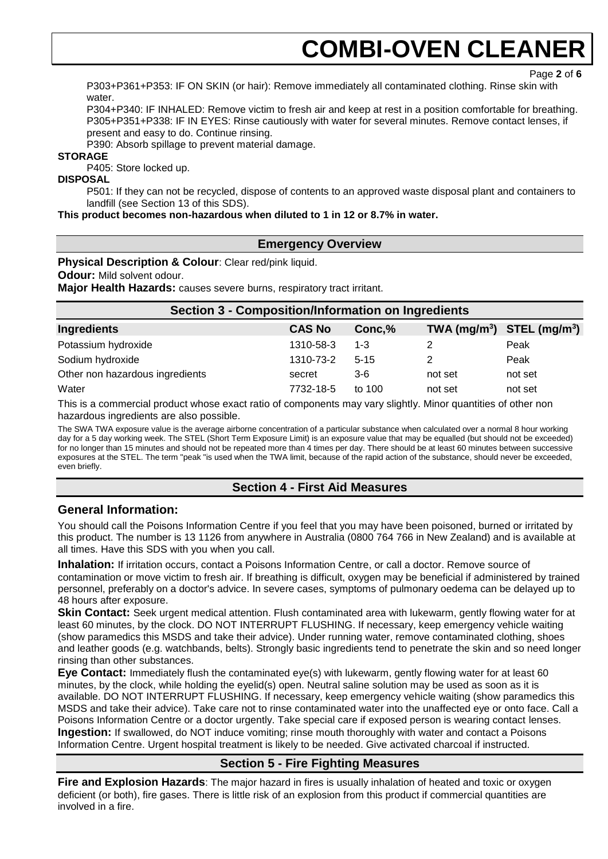Page **2** of **6**

P303+P361+P353: IF ON SKIN (or hair): Remove immediately all contaminated clothing. Rinse skin with water.

P304+P340: IF INHALED: Remove victim to fresh air and keep at rest in a position comfortable for breathing. P305+P351+P338: IF IN EYES: Rinse cautiously with water for several minutes. Remove contact lenses, if present and easy to do. Continue rinsing.

P390: Absorb spillage to prevent material damage.

#### **STORAGE**

P405: Store locked up.

#### **DISPOSAL**

P501: If they can not be recycled, dispose of contents to an approved waste disposal plant and containers to landfill (see Section 13 of this SDS).

#### **This product becomes non-hazardous when diluted to 1 in 12 or 8.7% in water.**

### **Emergency Overview**

**Physical Description & Colour**: Clear red/pink liquid.

**Odour:** Mild solvent odour.

**Major Health Hazards:** causes severe burns, respiratory tract irritant.

| <b>Section 3 - Composition/Information on Ingredients</b> |               |          |                                |         |
|-----------------------------------------------------------|---------------|----------|--------------------------------|---------|
| <b>Ingredients</b>                                        | <b>CAS No</b> | Conc,%   | TWA $(mg/m^3)$ STEL $(mg/m^3)$ |         |
| Potassium hydroxide                                       | 1310-58-3     | $1 - 3$  |                                | Peak    |
| Sodium hydroxide                                          | 1310-73-2     | $5 - 15$ |                                | Peak    |
| Other non hazardous ingredients                           | secret        | $3-6$    | not set                        | not set |
| Water                                                     | 7732-18-5     | to 100   | not set                        | not set |

This is a commercial product whose exact ratio of components may vary slightly. Minor quantities of other non hazardous ingredients are also possible.

The SWA TWA exposure value is the average airborne concentration of a particular substance when calculated over a normal 8 hour working day for a 5 day working week. The STEL (Short Term Exposure Limit) is an exposure value that may be equalled (but should not be exceeded) for no longer than 15 minutes and should not be repeated more than 4 times per day. There should be at least 60 minutes between successive exposures at the STEL. The term "peak "is used when the TWA limit, because of the rapid action of the substance, should never be exceeded, even briefly.

## **Section 4 - First Aid Measures**

## **General Information:**

You should call the Poisons Information Centre if you feel that you may have been poisoned, burned or irritated by this product. The number is 13 1126 from anywhere in Australia (0800 764 766 in New Zealand) and is available at all times. Have this SDS with you when you call.

**Inhalation:** If irritation occurs, contact a Poisons Information Centre, or call a doctor. Remove source of contamination or move victim to fresh air. If breathing is difficult, oxygen may be beneficial if administered by trained personnel, preferably on a doctor's advice. In severe cases, symptoms of pulmonary oedema can be delayed up to 48 hours after exposure.

**Skin Contact:** Seek urgent medical attention. Flush contaminated area with lukewarm, gently flowing water for at least 60 minutes, by the clock. DO NOT INTERRUPT FLUSHING. If necessary, keep emergency vehicle waiting (show paramedics this MSDS and take their advice). Under running water, remove contaminated clothing, shoes and leather goods (e.g. watchbands, belts). Strongly basic ingredients tend to penetrate the skin and so need longer rinsing than other substances.

**Eye Contact:** Immediately flush the contaminated eye(s) with lukewarm, gently flowing water for at least 60 minutes, by the clock, while holding the eyelid(s) open. Neutral saline solution may be used as soon as it is available. DO NOT INTERRUPT FLUSHING. If necessary, keep emergency vehicle waiting (show paramedics this MSDS and take their advice). Take care not to rinse contaminated water into the unaffected eye or onto face. Call a Poisons Information Centre or a doctor urgently. Take special care if exposed person is wearing contact lenses. **Ingestion:** If swallowed, do NOT induce vomiting; rinse mouth thoroughly with water and contact a Poisons Information Centre. Urgent hospital treatment is likely to be needed. Give activated charcoal if instructed.

# **Section 5 - Fire Fighting Measures**

**Fire and Explosion Hazards**: The major hazard in fires is usually inhalation of heated and toxic or oxygen deficient (or both), fire gases. There is little risk of an explosion from this product if commercial quantities are involved in a fire.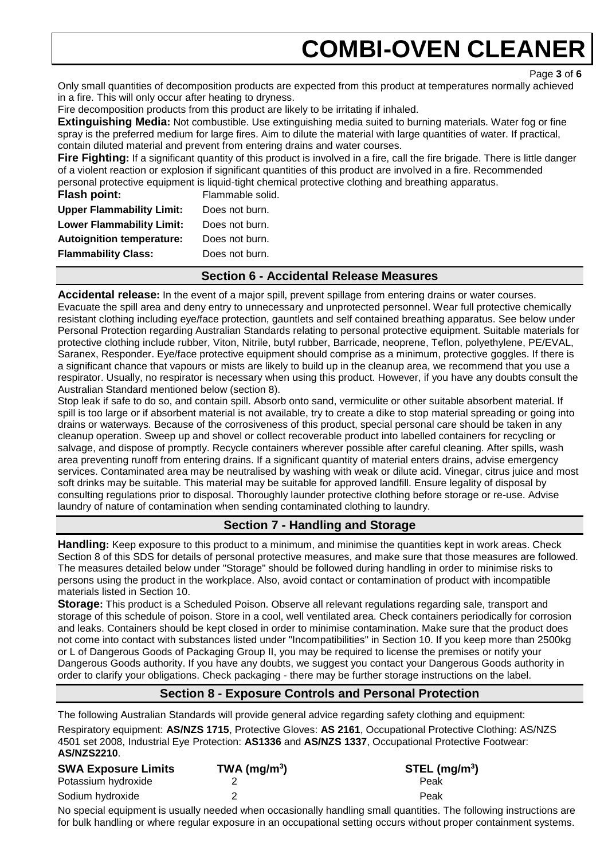Page **3** of **6**

Only small quantities of decomposition products are expected from this product at temperatures normally achieved in a fire. This will only occur after heating to dryness.

Fire decomposition products from this product are likely to be irritating if inhaled.

**Extinguishing Media:** Not combustible. Use extinguishing media suited to burning materials. Water fog or fine spray is the preferred medium for large fires. Aim to dilute the material with large quantities of water. If practical, contain diluted material and prevent from entering drains and water courses.

**Fire Fighting:** If a significant quantity of this product is involved in a fire, call the fire brigade. There is little danger of a violent reaction or explosion if significant quantities of this product are involved in a fire. Recommended personal protective equipment is liquid-tight chemical protective clothing and breathing apparatus.

| <b>Flash point:</b>              | Flammable solid. |
|----------------------------------|------------------|
| <b>Upper Flammability Limit:</b> | Does not burn.   |
| <b>Lower Flammability Limit:</b> | Does not burn.   |
| <b>Autoignition temperature:</b> | Does not burn.   |
| <b>Flammability Class:</b>       | Does not burn.   |
|                                  |                  |

# **Section 6 - Accidental Release Measures**

**Accidental release:** In the event of a major spill, prevent spillage from entering drains or water courses. Evacuate the spill area and deny entry to unnecessary and unprotected personnel. Wear full protective chemically resistant clothing including eye/face protection, gauntlets and self contained breathing apparatus. See below under Personal Protection regarding Australian Standards relating to personal protective equipment. Suitable materials for protective clothing include rubber, Viton, Nitrile, butyl rubber, Barricade, neoprene, Teflon, polyethylene, PE/EVAL, Saranex, Responder. Eye/face protective equipment should comprise as a minimum, protective goggles. If there is a significant chance that vapours or mists are likely to build up in the cleanup area, we recommend that you use a respirator. Usually, no respirator is necessary when using this product. However, if you have any doubts consult the Australian Standard mentioned below (section 8).

Stop leak if safe to do so, and contain spill. Absorb onto sand, vermiculite or other suitable absorbent material. If spill is too large or if absorbent material is not available, try to create a dike to stop material spreading or going into drains or waterways. Because of the corrosiveness of this product, special personal care should be taken in any cleanup operation. Sweep up and shovel or collect recoverable product into labelled containers for recycling or salvage, and dispose of promptly. Recycle containers wherever possible after careful cleaning. After spills, wash area preventing runoff from entering drains. If a significant quantity of material enters drains, advise emergency services. Contaminated area may be neutralised by washing with weak or dilute acid. Vinegar, citrus juice and most soft drinks may be suitable. This material may be suitable for approved landfill. Ensure legality of disposal by consulting regulations prior to disposal. Thoroughly launder protective clothing before storage or re-use. Advise laundry of nature of contamination when sending contaminated clothing to laundry.

# **Section 7 - Handling and Storage**

**Handling:** Keep exposure to this product to a minimum, and minimise the quantities kept in work areas. Check Section 8 of this SDS for details of personal protective measures, and make sure that those measures are followed. The measures detailed below under "Storage" should be followed during handling in order to minimise risks to persons using the product in the workplace. Also, avoid contact or contamination of product with incompatible materials listed in Section 10.

**Storage:** This product is a Scheduled Poison. Observe all relevant regulations regarding sale, transport and storage of this schedule of poison. Store in a cool, well ventilated area. Check containers periodically for corrosion and leaks. Containers should be kept closed in order to minimise contamination. Make sure that the product does not come into contact with substances listed under "Incompatibilities" in Section 10. If you keep more than 2500kg or L of Dangerous Goods of Packaging Group II, you may be required to license the premises or notify your Dangerous Goods authority. If you have any doubts, we suggest you contact your Dangerous Goods authority in order to clarify your obligations. Check packaging - there may be further storage instructions on the label.

# **Section 8 - Exposure Controls and Personal Protection**

The following Australian Standards will provide general advice regarding safety clothing and equipment: Respiratory equipment: **AS/NZS 1715**, Protective Gloves: **AS 2161**, Occupational Protective Clothing: AS/NZS 4501 set 2008, Industrial Eye Protection: **AS1336** and **AS/NZS 1337**, Occupational Protective Footwear: **AS/NZS2210**.

| <b>SWA Exposure Limits</b> | $TWA$ (mg/m <sup>3</sup> ) | $STEL$ (mg/m <sup>3</sup> ) |
|----------------------------|----------------------------|-----------------------------|
| Potassium hydroxide        |                            | Peak                        |
| Sodium hydroxide           |                            | Peak                        |

No special equipment is usually needed when occasionally handling small quantities. The following instructions are for bulk handling or where regular exposure in an occupational setting occurs without proper containment systems.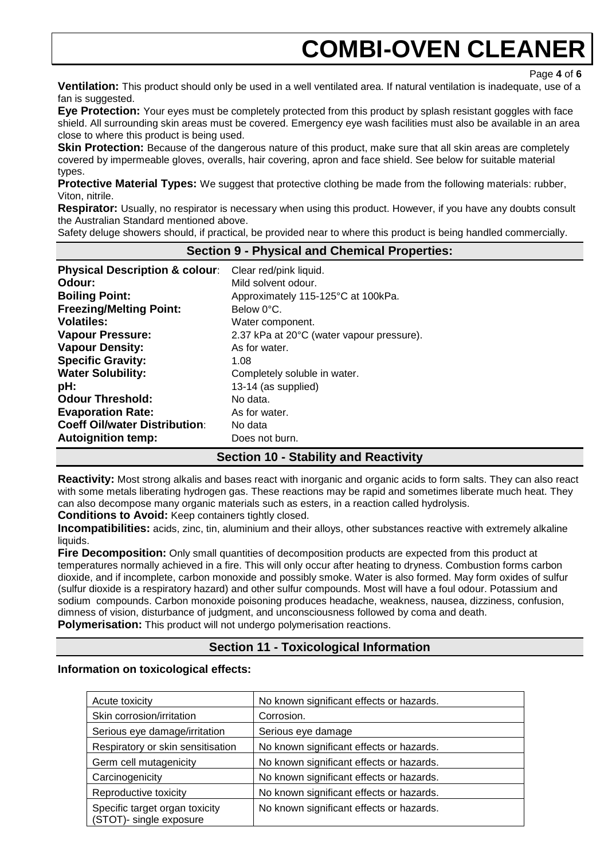Page **4** of **6**

**Ventilation:** This product should only be used in a well ventilated area. If natural ventilation is inadequate, use of a fan is suggested.

**Eye Protection:** Your eyes must be completely protected from this product by splash resistant goggles with face shield. All surrounding skin areas must be covered. Emergency eye wash facilities must also be available in an area close to where this product is being used.

**Skin Protection:** Because of the dangerous nature of this product, make sure that all skin areas are completely covered by impermeable gloves, overalls, hair covering, apron and face shield. See below for suitable material types.

**Protective Material Types:** We suggest that protective clothing be made from the following materials: rubber, Viton, nitrile.

**Respirator:** Usually, no respirator is necessary when using this product. However, if you have any doubts consult the Australian Standard mentioned above.

Safety deluge showers should, if practical, be provided near to where this product is being handled commercially.

### **Section 9 - Physical and Chemical Properties:**

| Clear red/pink liquid.<br>Mild solvent odour.<br>Approximately 115-125°C at 100kPa.<br>Below 0°C.<br>Water component.<br>2.37 kPa at 20°C (water vapour pressure).<br>As for water.<br>1.08<br>Completely soluble in water.<br>13-14 (as supplied)<br>No data.<br>As for water.<br>No data |
|--------------------------------------------------------------------------------------------------------------------------------------------------------------------------------------------------------------------------------------------------------------------------------------------|
| Does not burn.                                                                                                                                                                                                                                                                             |
|                                                                                                                                                                                                                                                                                            |

## **Section 10 - Stability and Reactivity**

**Reactivity:** Most strong alkalis and bases react with inorganic and organic acids to form salts. They can also react with some metals liberating hydrogen gas. These reactions may be rapid and sometimes liberate much heat. They can also decompose many organic materials such as esters, in a reaction called hydrolysis.

**Conditions to Avoid:** Keep containers tightly closed.

**Incompatibilities:** acids, zinc, tin, aluminium and their alloys, other substances reactive with extremely alkaline liquids.

**Fire Decomposition:** Only small quantities of decomposition products are expected from this product at temperatures normally achieved in a fire. This will only occur after heating to dryness. Combustion forms carbon dioxide, and if incomplete, carbon monoxide and possibly smoke. Water is also formed. May form oxides of sulfur (sulfur dioxide is a respiratory hazard) and other sulfur compounds. Most will have a foul odour. Potassium and sodium compounds. Carbon monoxide poisoning produces headache, weakness, nausea, dizziness, confusion, dimness of vision, disturbance of judgment, and unconsciousness followed by coma and death. **Polymerisation:** This product will not undergo polymerisation reactions.

**Section 11 - Toxicological Information**

#### **Information on toxicological effects:**

| Acute toxicity                                            | No known significant effects or hazards. |
|-----------------------------------------------------------|------------------------------------------|
| Skin corrosion/irritation                                 | Corrosion.                               |
| Serious eye damage/irritation                             | Serious eye damage                       |
| Respiratory or skin sensitisation                         | No known significant effects or hazards. |
| Germ cell mutagenicity                                    | No known significant effects or hazards. |
| Carcinogenicity                                           | No known significant effects or hazards. |
| Reproductive toxicity                                     | No known significant effects or hazards. |
| Specific target organ toxicity<br>(STOT)- single exposure | No known significant effects or hazards. |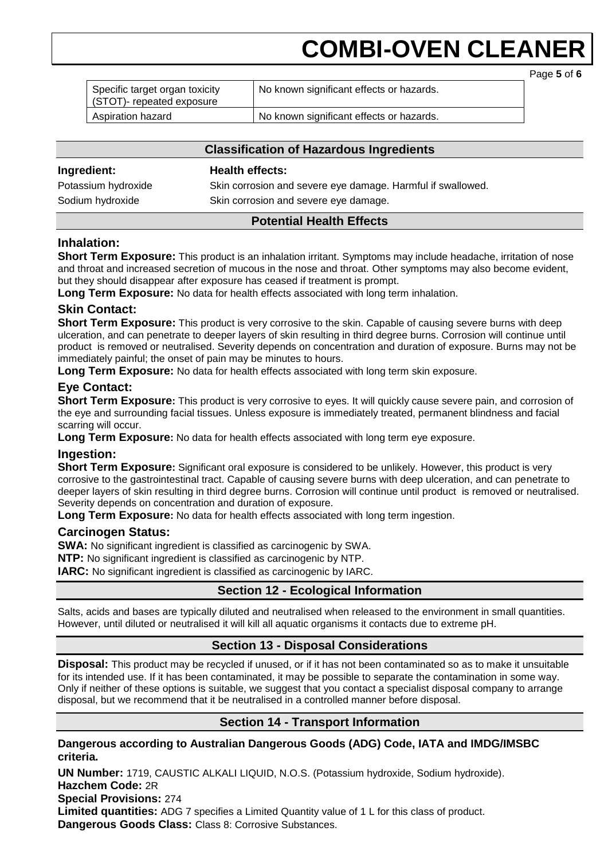|                                                            |                                          | Page 5 of 6 |
|------------------------------------------------------------|------------------------------------------|-------------|
| Specific target organ toxicity<br>STOT)- repeated exposure | No known significant effects or hazards. |             |
| Aspiration hazard                                          | No known significant effects or hazards. |             |

### **Classification of Hazardous Ingredients**

| Ingredient:         | <b>Health effects:</b>                                      |
|---------------------|-------------------------------------------------------------|
| Potassium hydroxide | Skin corrosion and severe eye damage. Harmful if swallowed. |
| Sodium hydroxide    | Skin corrosion and severe eye damage.                       |
|                     |                                                             |

## **Potential Health Effects**

## **Inhalation:**

**Short Term Exposure:** This product is an inhalation irritant. Symptoms may include headache, irritation of nose and throat and increased secretion of mucous in the nose and throat. Other symptoms may also become evident, but they should disappear after exposure has ceased if treatment is prompt.

**Long Term Exposure:** No data for health effects associated with long term inhalation.

## **Skin Contact:**

**Short Term Exposure:** This product is very corrosive to the skin. Capable of causing severe burns with deep ulceration, and can penetrate to deeper layers of skin resulting in third degree burns. Corrosion will continue until product is removed or neutralised. Severity depends on concentration and duration of exposure. Burns may not be immediately painful; the onset of pain may be minutes to hours.

**Long Term Exposure:** No data for health effects associated with long term skin exposure.

# **Eye Contact:**

**Short Term Exposure:** This product is very corrosive to eyes. It will quickly cause severe pain, and corrosion of the eye and surrounding facial tissues. Unless exposure is immediately treated, permanent blindness and facial scarring will occur.

**Long Term Exposure:** No data for health effects associated with long term eye exposure.

## **Ingestion:**

**Short Term Exposure:** Significant oral exposure is considered to be unlikely. However, this product is very corrosive to the gastrointestinal tract. Capable of causing severe burns with deep ulceration, and can penetrate to deeper layers of skin resulting in third degree burns. Corrosion will continue until product is removed or neutralised. Severity depends on concentration and duration of exposure.

**Long Term Exposure:** No data for health effects associated with long term ingestion.

## **Carcinogen Status:**

**SWA:** No significant ingredient is classified as carcinogenic by SWA.

**NTP:** No significant ingredient is classified as carcinogenic by NTP.

**IARC:** No significant ingredient is classified as carcinogenic by IARC.

# **Section 12 - Ecological Information**

Salts, acids and bases are typically diluted and neutralised when released to the environment in small quantities. However, until diluted or neutralised it will kill all aquatic organisms it contacts due to extreme pH.

# **Section 13 - Disposal Considerations**

**Disposal:** This product may be recycled if unused, or if it has not been contaminated so as to make it unsuitable for its intended use. If it has been contaminated, it may be possible to separate the contamination in some way. Only if neither of these options is suitable, we suggest that you contact a specialist disposal company to arrange disposal, but we recommend that it be neutralised in a controlled manner before disposal.

# **Section 14 - Transport Information**

**Dangerous according to Australian Dangerous Goods (ADG) Code, IATA and IMDG/IMSBC criteria.** 

**UN Number:** 1719, CAUSTIC ALKALI LIQUID, N.O.S. (Potassium hydroxide, Sodium hydroxide). **Hazchem Code:** 2R **Special Provisions:** 274 **Limited quantities:** ADG 7 specifies a Limited Quantity value of 1 L for this class of product. **Dangerous Goods Class:** Class 8: Corrosive Substances.